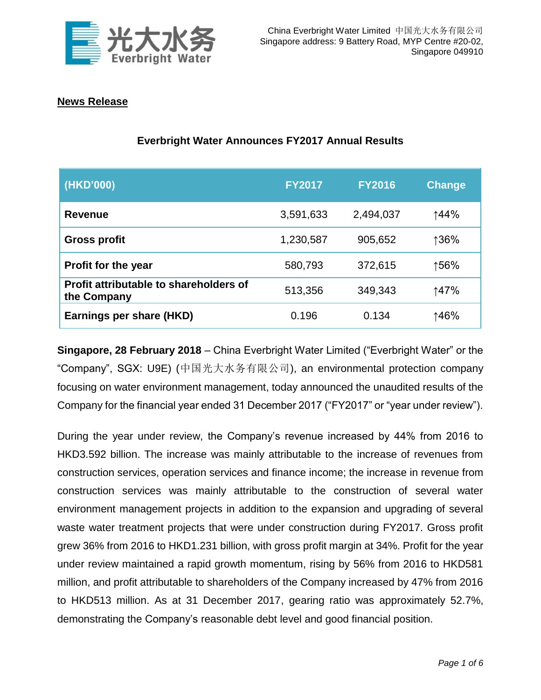

## **News Release**

# **Everbright Water Announces FY2017 Annual Results**

| (HKD'000)                                             | <b>FY2017</b> | <b>FY2016</b> | <b>Change</b> |
|-------------------------------------------------------|---------------|---------------|---------------|
| <b>Revenue</b>                                        | 3,591,633     | 2,494,037     | ↑44%          |
| <b>Gross profit</b>                                   | 1,230,587     | 905,652       | ↑36%          |
| <b>Profit for the year</b>                            | 580,793       | 372,615       | ↑56%          |
| Profit attributable to shareholders of<br>the Company | 513,356       | 349,343       | ↑47%          |
| Earnings per share (HKD)                              | 0.196         | 0.134         | 146%          |

**Singapore, 28 February 2018** – China Everbright Water Limited ("Everbright Water" or the "Company", SGX: U9E) (中国光大水务有限公司), an environmental protection company focusing on water environment management, today announced the unaudited results of the Company for the financial year ended 31 December 2017 ("FY2017" or "year under review").

During the year under review, the Company's revenue increased by 44% from 2016 to HKD3.592 billion. The increase was mainly attributable to the increase of revenues from construction services, operation services and finance income; the increase in revenue from construction services was mainly attributable to the construction of several water environment management projects in addition to the expansion and upgrading of several waste water treatment projects that were under construction during FY2017. Gross profit grew 36% from 2016 to HKD1.231 billion, with gross profit margin at 34%. Profit for the year under review maintained a rapid growth momentum, rising by 56% from 2016 to HKD581 million, and profit attributable to shareholders of the Company increased by 47% from 2016 to HKD513 million. As at 31 December 2017, gearing ratio was approximately 52.7%, demonstrating the Company's reasonable debt level and good financial position.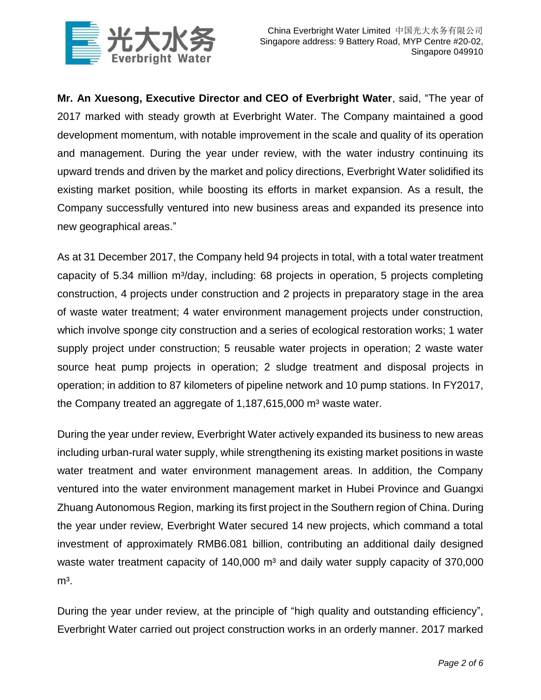

**Mr. An Xuesong, Executive Director and CEO of Everbright Water**, said, "The year of 2017 marked with steady growth at Everbright Water. The Company maintained a good development momentum, with notable improvement in the scale and quality of its operation and management. During the year under review, with the water industry continuing its upward trends and driven by the market and policy directions, Everbright Water solidified its existing market position, while boosting its efforts in market expansion. As a result, the Company successfully ventured into new business areas and expanded its presence into new geographical areas."

As at 31 December 2017, the Company held 94 projects in total, with a total water treatment capacity of 5.34 million m<sup>3</sup>/day, including: 68 projects in operation, 5 projects completing construction, 4 projects under construction and 2 projects in preparatory stage in the area of waste water treatment; 4 water environment management projects under construction, which involve sponge city construction and a series of ecological restoration works; 1 water supply project under construction; 5 reusable water projects in operation; 2 waste water source heat pump projects in operation; 2 sludge treatment and disposal projects in operation; in addition to 87 kilometers of pipeline network and 10 pump stations. In FY2017, the Company treated an aggregate of  $1,187,615,000$  m<sup>3</sup> waste water.

During the year under review, Everbright Water actively expanded its business to new areas including urban-rural water supply, while strengthening its existing market positions in waste water treatment and water environment management areas. In addition, the Company ventured into the water environment management market in Hubei Province and Guangxi Zhuang Autonomous Region, marking its first project in the Southern region of China. During the year under review, Everbright Water secured 14 new projects, which command a total investment of approximately RMB6.081 billion, contributing an additional daily designed waste water treatment capacity of  $140,000$  m<sup>3</sup> and daily water supply capacity of  $370,000$  $m<sup>3</sup>$ .

During the year under review, at the principle of "high quality and outstanding efficiency", Everbright Water carried out project construction works in an orderly manner. 2017 marked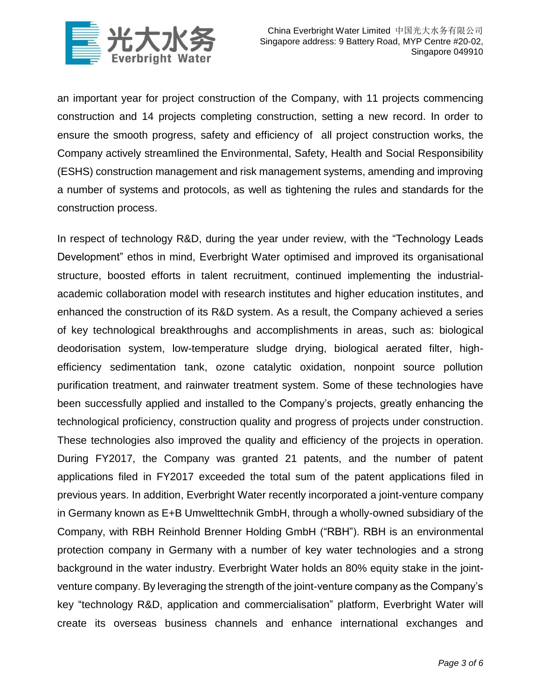

an important year for project construction of the Company, with 11 projects commencing construction and 14 projects completing construction, setting a new record. In order to ensure the smooth progress, safety and efficiency of all project construction works, the Company actively streamlined the Environmental, Safety, Health and Social Responsibility (ESHS) construction management and risk management systems, amending and improving a number of systems and protocols, as well as tightening the rules and standards for the construction process.

In respect of technology R&D, during the year under review, with the "Technology Leads Development" ethos in mind, Everbright Water optimised and improved its organisational structure, boosted efforts in talent recruitment, continued implementing the industrialacademic collaboration model with research institutes and higher education institutes, and enhanced the construction of its R&D system. As a result, the Company achieved a series of key technological breakthroughs and accomplishments in areas, such as: biological deodorisation system, low-temperature sludge drying, biological aerated filter, highefficiency sedimentation tank, ozone catalytic oxidation, nonpoint source pollution purification treatment, and rainwater treatment system. Some of these technologies have been successfully applied and installed to the Company's projects, greatly enhancing the technological proficiency, construction quality and progress of projects under construction. These technologies also improved the quality and efficiency of the projects in operation. During FY2017, the Company was granted 21 patents, and the number of patent applications filed in FY2017 exceeded the total sum of the patent applications filed in previous years. In addition, Everbright Water recently incorporated a joint-venture company in Germany known as E+B Umwelttechnik GmbH, through a wholly-owned subsidiary of the Company, with RBH Reinhold Brenner Holding GmbH ("RBH"). RBH is an environmental protection company in Germany with a number of key water technologies and a strong background in the water industry. Everbright Water holds an 80% equity stake in the jointventure company. By leveraging the strength of the joint-venture company as the Company's key "technology R&D, application and commercialisation" platform, Everbright Water will create its overseas business channels and enhance international exchanges and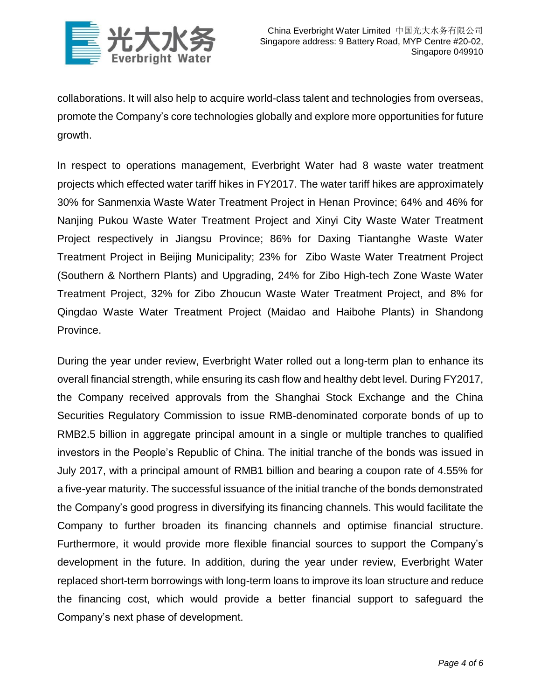

collaborations. It will also help to acquire world-class talent and technologies from overseas, promote the Company's core technologies globally and explore more opportunities for future growth.

In respect to operations management, Everbright Water had 8 waste water treatment projects which effected water tariff hikes in FY2017. The water tariff hikes are approximately 30% for Sanmenxia Waste Water Treatment Project in Henan Province; 64% and 46% for Nanjing Pukou Waste Water Treatment Project and Xinyi City Waste Water Treatment Project respectively in Jiangsu Province; 86% for Daxing Tiantanghe Waste Water Treatment Project in Beijing Municipality; 23% for Zibo Waste Water Treatment Project (Southern & Northern Plants) and Upgrading, 24% for Zibo High-tech Zone Waste Water Treatment Project, 32% for Zibo Zhoucun Waste Water Treatment Project, and 8% for Qingdao Waste Water Treatment Project (Maidao and Haibohe Plants) in Shandong Province.

During the year under review, Everbright Water rolled out a long-term plan to enhance its overall financial strength, while ensuring its cash flow and healthy debt level. During FY2017, the Company received approvals from the Shanghai Stock Exchange and the China Securities Regulatory Commission to issue RMB-denominated corporate bonds of up to RMB2.5 billion in aggregate principal amount in a single or multiple tranches to qualified investors in the People's Republic of China. The initial tranche of the bonds was issued in July 2017, with a principal amount of RMB1 billion and bearing a coupon rate of 4.55% for a five-year maturity. The successful issuance of the initial tranche of the bonds demonstrated the Company's good progress in diversifying its financing channels. This would facilitate the Company to further broaden its financing channels and optimise financial structure. Furthermore, it would provide more flexible financial sources to support the Company's development in the future. In addition, during the year under review, Everbright Water replaced short-term borrowings with long-term loans to improve its loan structure and reduce the financing cost, which would provide a better financial support to safeguard the Company's next phase of development.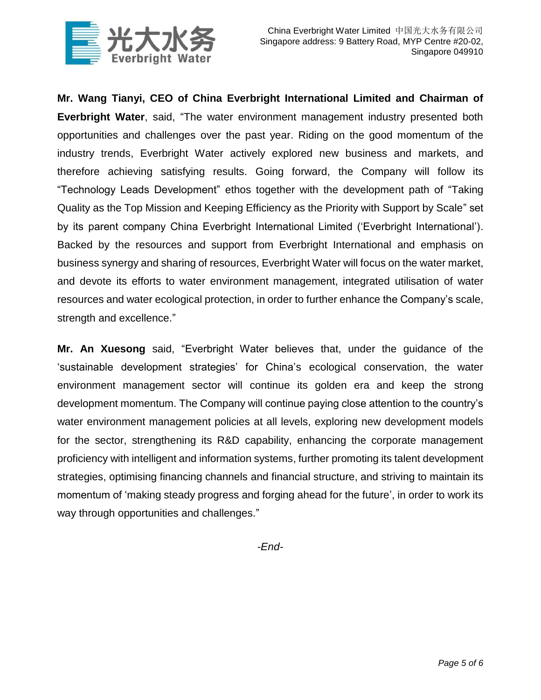

**Mr. Wang Tianyi, CEO of China Everbright International Limited and Chairman of Everbright Water**, said, "The water environment management industry presented both opportunities and challenges over the past year. Riding on the good momentum of the industry trends, Everbright Water actively explored new business and markets, and therefore achieving satisfying results. Going forward, the Company will follow its "Technology Leads Development" ethos together with the development path of "Taking Quality as the Top Mission and Keeping Efficiency as the Priority with Support by Scale" set by its parent company China Everbright International Limited ('Everbright International'). Backed by the resources and support from Everbright International and emphasis on business synergy and sharing of resources, Everbright Water will focus on the water market, and devote its efforts to water environment management, integrated utilisation of water resources and water ecological protection, in order to further enhance the Company's scale, strength and excellence."

**Mr. An Xuesong** said, "Everbright Water believes that, under the guidance of the 'sustainable development strategies' for China's ecological conservation, the water environment management sector will continue its golden era and keep the strong development momentum. The Company will continue paying close attention to the country's water environment management policies at all levels, exploring new development models for the sector, strengthening its R&D capability, enhancing the corporate management proficiency with intelligent and information systems, further promoting its talent development strategies, optimising financing channels and financial structure, and striving to maintain its momentum of 'making steady progress and forging ahead for the future', in order to work its way through opportunities and challenges."

*-End-*